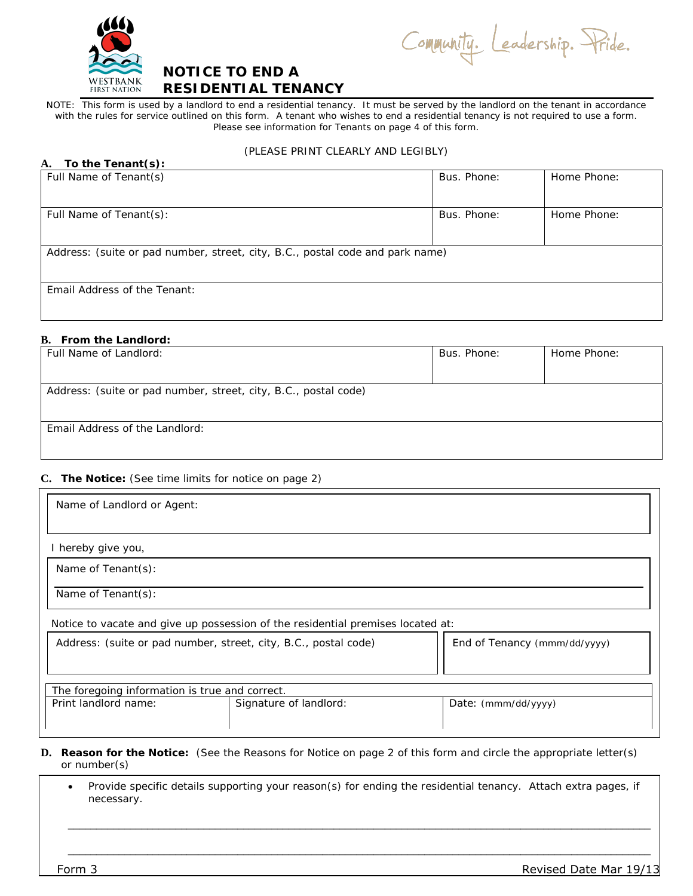

Community. Leadership. Pride.

# **NOTICE TO END A RESIDENTIAL TENANCY**

NOTE: This form is used by a landlord to end a residential tenancy. It must be served by the landlord on the tenant in accordance with the rules for service outlined on this form. A tenant who wishes to end a residential tenancy is not required to use a form. Please see information for Tenants on page 4 of this form.

## (PLEASE PRINT CLEARLY AND LEGIBLY)

| To the Tenant(s):<br><b>A.</b>                                                |             |             |
|-------------------------------------------------------------------------------|-------------|-------------|
| Full Name of Tenant(s)                                                        | Bus. Phone: | Home Phone: |
| Full Name of Tenant(s):                                                       | Bus. Phone: | Home Phone: |
| Address: (suite or pad number, street, city, B.C., postal code and park name) |             |             |
| Email Address of the Tenant:                                                  |             |             |

## **B. From the Landlord:**

| Full Name of Landlord:                                          | Bus. Phone: | Home Phone: |  |
|-----------------------------------------------------------------|-------------|-------------|--|
|                                                                 |             |             |  |
| Address: (suite or pad number, street, city, B.C., postal code) |             |             |  |
| Email Address of the Landlord:                                  |             |             |  |

## **C. The Notice:** (See time limits for notice on page 2)

| Name of Landlord or Agent:                                                      |  |                              |  |  |
|---------------------------------------------------------------------------------|--|------------------------------|--|--|
|                                                                                 |  |                              |  |  |
| I hereby give you,                                                              |  |                              |  |  |
| Name of Tenant(s):                                                              |  |                              |  |  |
| Name of Tenant(s):                                                              |  |                              |  |  |
| Notice to vacate and give up possession of the residential premises located at: |  |                              |  |  |
| Address: (suite or pad number, street, city, B.C., postal code)                 |  | End of Tenancy (mmm/dd/yyyy) |  |  |
| The foregoing information is true and correct.                                  |  |                              |  |  |
| Print landlord name:<br>Signature of landlord:                                  |  | Date: (mmm/dd/yyyy)          |  |  |

- **D. Reason for the Notice:** (See the Reasons for Notice on page 2 of this form and circle the appropriate letter(s) or number(s)
	- Provide specific details supporting your reason(s) for ending the residential tenancy. Attach extra pages, if necessary.

\_\_\_\_\_\_\_\_\_\_\_\_\_\_\_\_\_\_\_\_\_\_\_\_\_\_\_\_\_\_\_\_\_\_\_\_\_\_\_\_\_\_\_\_\_\_\_\_\_\_\_\_\_\_\_\_\_\_\_\_\_\_\_\_\_\_\_\_\_\_\_\_\_\_\_\_\_\_\_\_\_\_\_\_\_\_\_\_\_\_\_\_\_\_\_\_\_\_\_\_\_\_\_

\_\_\_\_\_\_\_\_\_\_\_\_\_\_\_\_\_\_\_\_\_\_\_\_\_\_\_\_\_\_\_\_\_\_\_\_\_\_\_\_\_\_\_\_\_\_\_\_\_\_\_\_\_\_\_\_\_\_\_\_\_\_\_\_\_\_\_\_\_\_\_\_\_\_\_\_\_\_\_\_\_\_\_\_\_\_\_\_\_\_\_\_\_\_\_\_\_\_\_\_\_\_\_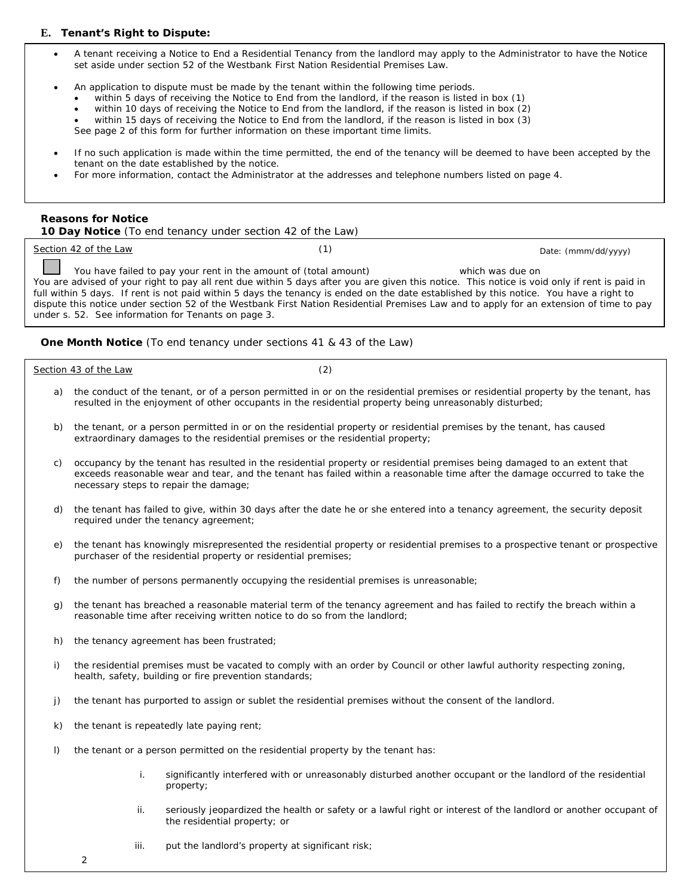## **E. Tenant's Right to Dispute:**

- A tenant receiving a Notice to End a Residential Tenancy from the landlord may apply to the Administrator to have the Notice set aside under section 52 of the Westbank First Nation Residential Premises Law.
- An application to dispute must be made by the tenant within the following time periods.
	- within 5 days of receiving the Notice to End from the landlord, if the reason is listed in box (1)
	- within 10 days of receiving the Notice to End from the landlord, if the reason is listed in box (2)
	- within 15 days of receiving the Notice to End from the landlord, if the reason is listed in box (3)

See page 2 of this form for further information on these important time limits.

- If no such application is made within the time permitted, the end of the tenancy will be deemed to have been accepted by the tenant on the date established by the notice.
- For more information, contact the Administrator at the addresses and telephone numbers listed on page 4.

#### **Reasons for Notice**

**10 Day Notice** (To end tenancy under section 42 of the Law)

| Section 42 of the Law | Date: (mmm/dd/yyyy) |
|-----------------------|---------------------|
|                       |                     |

**Contract** You have failed to pay your rent in the amount of (total amount) which was due on You are advised of your right to pay all rent due within 5 days after you are given this notice. This notice is void only if rent is paid in full within 5 days. If rent is not paid within 5 days the tenancy is ended on the date established by this notice. You have a right to dispute this notice under section 52 of the Westbank First Nation Residential Premises Law and to apply for an extension of time to pay under s. 52. See information for Tenants on page 3.

## **One Month Notice** (To end tenancy under sections 41 & 43 of the Law)

Section 43 of the Law (2)

- 
- a) the conduct of the tenant, or of a person permitted in or on the residential premises or residential property by the tenant, has resulted in the enjoyment of other occupants in the residential property being unreasonably disturbed;
- b) the tenant, or a person permitted in or on the residential property or residential premises by the tenant, has caused extraordinary damages to the residential premises or the residential property;
- c) occupancy by the tenant has resulted in the residential property or residential premises being damaged to an extent that exceeds reasonable wear and tear, and the tenant has failed within a reasonable time after the damage occurred to take the necessary steps to repair the damage;
- d) the tenant has failed to give, within 30 days after the date he or she entered into a tenancy agreement, the security deposit required under the tenancy agreement;
- e) the tenant has knowingly misrepresented the residential property or residential premises to a prospective tenant or prospective purchaser of the residential property or residential premises;
- f) the number of persons permanently occupying the residential premises is unreasonable;
- g) the tenant has breached a reasonable material term of the tenancy agreement and has failed to rectify the breach within a reasonable time after receiving written notice to do so from the landlord;
- h) the tenancy agreement has been frustrated;
- i) the residential premises must be vacated to comply with an order by Council or other lawful authority respecting zoning, health, safety, building or fire prevention standards;
- j) the tenant has purported to assign or sublet the residential premises without the consent of the landlord.
- k) the tenant is repeatedly late paying rent;
- l) the tenant or a person permitted on the residential property by the tenant has:
	- i. significantly interfered with or unreasonably disturbed another occupant or the landlord of the residential property;
	- ii. seriously jeopardized the health or safety or a lawful right or interest of the landlord or another occupant of the residential property; or
	- iii. put the landlord's property at significant risk;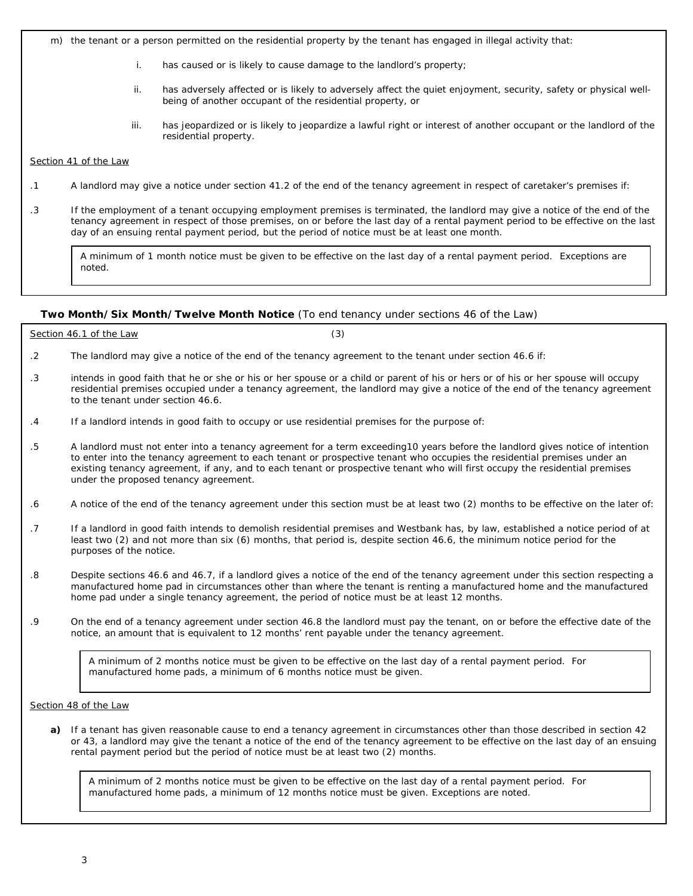m) the tenant or a person permitted on the residential property by the tenant has engaged in illegal activity that:

- i. has caused or is likely to cause damage to the landlord's property;
- ii. has adversely affected or is likely to adversely affect the quiet enjoyment, security, safety or physical wellbeing of another occupant of the residential property, or
- iii. has jeopardized or is likely to jeopardize a lawful right or interest of another occupant or the landlord of the residential property.

#### Section 41 of the Law

- .1 A landlord may give a notice under section 41.2 of the end of the tenancy agreement in respect of caretaker's premises if:
- .3 If the employment of a tenant occupying employment premises is terminated, the landlord may give a notice of the end of the tenancy agreement in respect of those premises, on or before the last day of a rental payment period to be effective on the last day of an ensuing rental payment period, but the period of notice must be at least one month.

A minimum of 1 month notice must be given to be effective on the last day of a rental payment period. Exceptions are noted.

#### **Two Month/Six Month/Twelve Month Notice** (To end tenancy under sections 46 of the Law)

|    | Section 46.1 of the Law                                                                                 |                                                                                                                                                                                                                                                                  |
|----|---------------------------------------------------------------------------------------------------------|------------------------------------------------------------------------------------------------------------------------------------------------------------------------------------------------------------------------------------------------------------------|
|    | The landlord may give a notice of the end of the tenancy agreement to the tenant under section 46.6 if: |                                                                                                                                                                                                                                                                  |
| .3 | to the tenant under section 46.6.                                                                       | intends in good faith that he or she or his or her spouse or a child or parent of his or hers or of his or her spouse will occupy<br>residential premises occupied under a tenancy agreement, the landlord may give a notice of the end of the tenancy agreement |

- .4 If a landlord intends in good faith to occupy or use residential premises for the purpose of:
- .5 A landlord must not enter into a tenancy agreement for a term exceeding10 years before the landlord gives notice of intention to enter into the tenancy agreement to each tenant or prospective tenant who occupies the residential premises under an existing tenancy agreement, if any, and to each tenant or prospective tenant who will first occupy the residential premises under the proposed tenancy agreement.
- .6 A notice of the end of the tenancy agreement under this section must be at least two (2) months to be effective on the later of:
- .7 If a landlord in good faith intends to demolish residential premises and Westbank has, by law, established a notice period of at least two (2) and not more than six (6) months, that period is, despite section 46.6, the minimum notice period for the purposes of the notice.
- .8 Despite sections 46.6 and 46.7, if a landlord gives a notice of the end of the tenancy agreement under this section respecting a manufactured home pad in circumstances other than where the tenant is renting a manufactured home and the manufactured home pad under a single tenancy agreement, the period of notice must be at least 12 months.
- .9 On the end of a tenancy agreement under section 46.8 the landlord must pay the tenant, on or before the effective date of the notice, an amount that is equivalent to 12 months' rent payable under the tenancy agreement.

A minimum of 2 months notice must be given to be effective on the last day of a rental payment period. For manufactured home pads, a minimum of 6 months notice must be given.

Section 48 of the Law

**a)** If a tenant has given reasonable cause to end a tenancy agreement in circumstances other than those described in section 42 or 43, a landlord may give the tenant a notice of the end of the tenancy agreement to be effective on the last day of an ensuing rental payment period but the period of notice must be at least two (2) months.

A minimum of 2 months notice must be given to be effective on the last day of a rental payment period. For manufactured home pads, a minimum of 12 months notice must be given. Exceptions are noted.